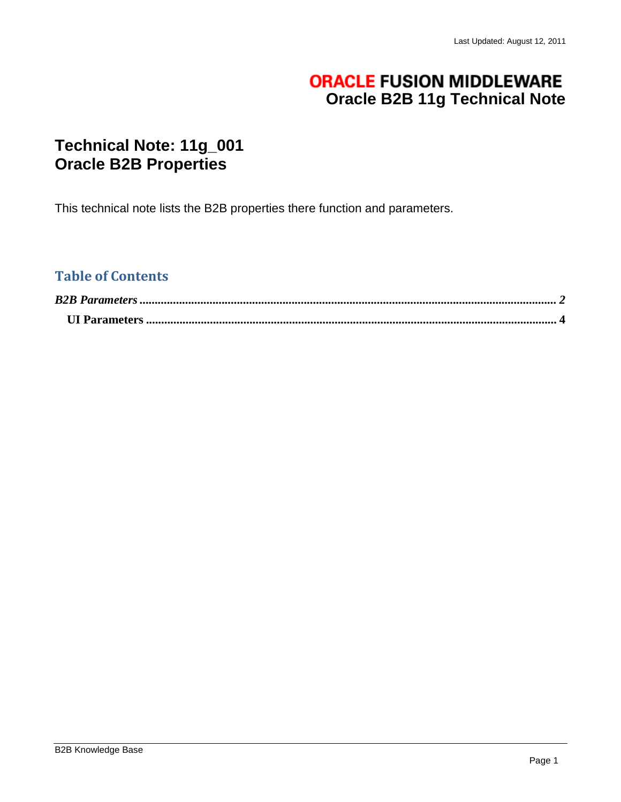# **ORACLE FUSION MIDDLEWARE Oracle B2B 11g Technical Note**

## **Technical Note: 11g\_001 Oracle B2B Properties**

This technical note lists the B2B properties there function and parameters.

## **Table of Contents**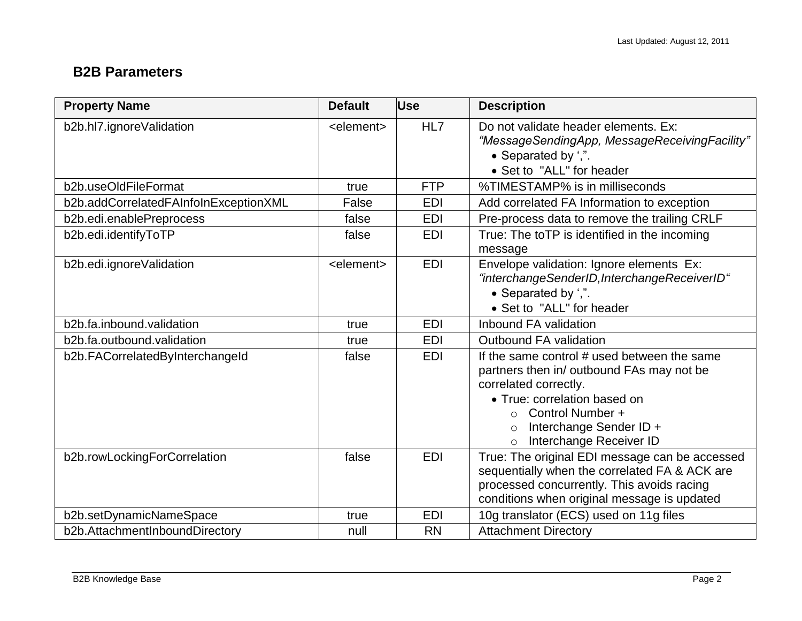### **B2B Parameters**

<span id="page-1-0"></span>

| <b>Property Name</b>                  | <b>Default</b>      | <b>Use</b> | <b>Description</b>                                                                                                                                                                                                                      |
|---------------------------------------|---------------------|------------|-----------------------------------------------------------------------------------------------------------------------------------------------------------------------------------------------------------------------------------------|
| b2b.hl7.ignoreValidation              | <element></element> | HL7        | Do not validate header elements. Ex:<br>"MessageSendingApp, MessageReceivingFacility"<br>• Separated by $\cdot$ ,".<br>• Set to "ALL" for header                                                                                        |
| b2b.useOldFileFormat                  | true                | <b>FTP</b> | %TIMESTAMP% is in milliseconds                                                                                                                                                                                                          |
| b2b.addCorrelatedFAInfoInExceptionXML | False               | <b>EDI</b> | Add correlated FA Information to exception                                                                                                                                                                                              |
| b2b.edi.enablePreprocess              | false               | <b>EDI</b> | Pre-process data to remove the trailing CRLF                                                                                                                                                                                            |
| b2b.edi.identifyToTP                  | false               | <b>EDI</b> | True: The toTP is identified in the incoming<br>message                                                                                                                                                                                 |
| b2b.edi.ignoreValidation              | <element></element> | <b>EDI</b> | Envelope validation: Ignore elements Ex:<br>"interchangeSenderID, InterchangeReceiverID"<br>• Separated by ',".<br>• Set to "ALL" for header                                                                                            |
| b2b.fa.inbound.validation             | true                | <b>EDI</b> | Inbound FA validation                                                                                                                                                                                                                   |
| b2b.fa.outbound.validation            | true                | <b>EDI</b> | Outbound FA validation                                                                                                                                                                                                                  |
| b2b.FACorrelatedByInterchangeId       | false               | EDI        | If the same control # used between the same<br>partners then in/outbound FAs may not be<br>correlated correctly.<br>• True: correlation based on<br>○ Control Number +<br>Interchange Sender ID +<br>Interchange Receiver ID<br>$\circ$ |
| b2b.rowLockingForCorrelation          | false               | <b>EDI</b> | True: The original EDI message can be accessed<br>sequentially when the correlated FA & ACK are<br>processed concurrently. This avoids racing<br>conditions when original message is updated                                            |
| b2b.setDynamicNameSpace               | true                | <b>EDI</b> | 10g translator (ECS) used on 11g files                                                                                                                                                                                                  |
| b2b.AttachmentInboundDirectory        | null                | <b>RN</b>  | <b>Attachment Directory</b>                                                                                                                                                                                                             |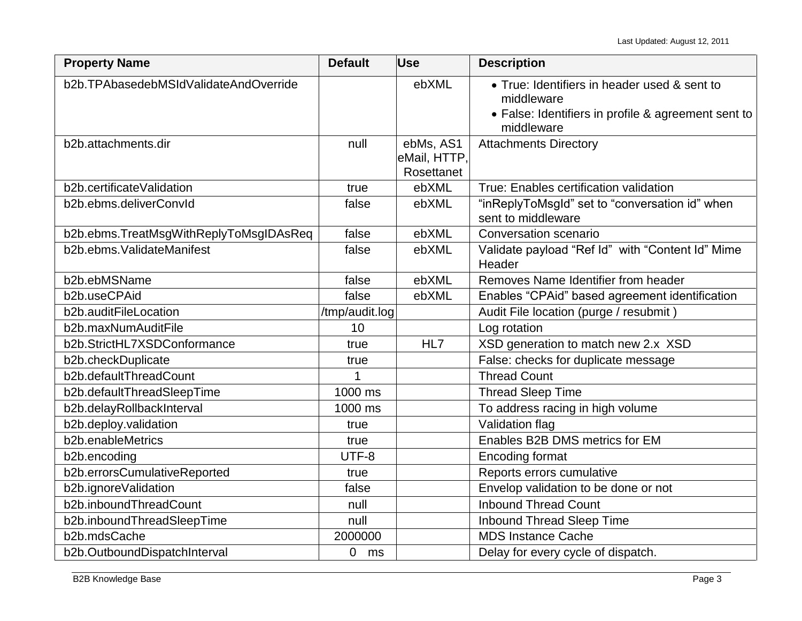| <b>Property Name</b>                   | <b>Default</b> | <b>Use</b>                | <b>Description</b>                                         |
|----------------------------------------|----------------|---------------------------|------------------------------------------------------------|
| b2b.TPAbasedebMSIdValidateAndOverride  |                | ebXML                     | • True: Identifiers in header used & sent to               |
|                                        |                |                           | middleware                                                 |
|                                        |                |                           | • False: Identifiers in profile & agreement sent to        |
|                                        |                |                           | middleware                                                 |
| b2b.attachments.dir                    | null           | ebMs, AS1<br>eMail, HTTP, | <b>Attachments Directory</b>                               |
|                                        |                | Rosettanet                |                                                            |
| b2b.certificateValidation              | true           | ebXML                     | True: Enables certification validation                     |
| b2b.ebms.deliverConvId                 | false          | ebXML                     | "inReplyToMsgId" set to "conversation id" when             |
|                                        |                |                           | sent to middleware                                         |
| b2b.ebms.TreatMsgWithReplyToMsgIDAsReq | false          | ebXML                     | <b>Conversation scenario</b>                               |
| b2b.ebms.ValidateManifest              | false          | ebXML                     | Validate payload "Ref Id" with "Content Id" Mime<br>Header |
| b2b.ebMSName                           | false          | ebXML                     | Removes Name Identifier from header                        |
| b2b.useCPAid                           | false          | ebXML                     | Enables "CPAid" based agreement identification             |
| b2b.auditFileLocation                  | /tmp/audit.log |                           | Audit File location (purge / resubmit)                     |
| b2b.maxNumAuditFile                    | 10             |                           | Log rotation                                               |
| b2b.StrictHL7XSDConformance            | true           | HL7                       | XSD generation to match new 2.x XSD                        |
| b2b.checkDuplicate                     | true           |                           | False: checks for duplicate message                        |
| b2b.defaultThreadCount                 | 1              |                           | <b>Thread Count</b>                                        |
| b2b.defaultThreadSleepTime             | 1000 ms        |                           | <b>Thread Sleep Time</b>                                   |
| b2b.delayRollbackInterval              | 1000 ms        |                           | To address racing in high volume                           |
| b2b.deploy.validation                  | true           |                           | Validation flag                                            |
| b2b.enableMetrics                      | true           |                           | Enables B2B DMS metrics for EM                             |
| b2b.encoding                           | UTF-8          |                           | <b>Encoding format</b>                                     |
| b2b.errorsCumulativeReported           | true           |                           | Reports errors cumulative                                  |
| b2b.ignoreValidation                   | false          |                           | Envelop validation to be done or not                       |
| b2b.inboundThreadCount                 | null           |                           | <b>Inbound Thread Count</b>                                |
| b2b.inboundThreadSleepTime             | null           |                           | <b>Inbound Thread Sleep Time</b>                           |
| b2b.mdsCache                           | 2000000        |                           | <b>MDS Instance Cache</b>                                  |
| b2b.OutboundDispatchInterval           | $0$ ms         |                           | Delay for every cycle of dispatch.                         |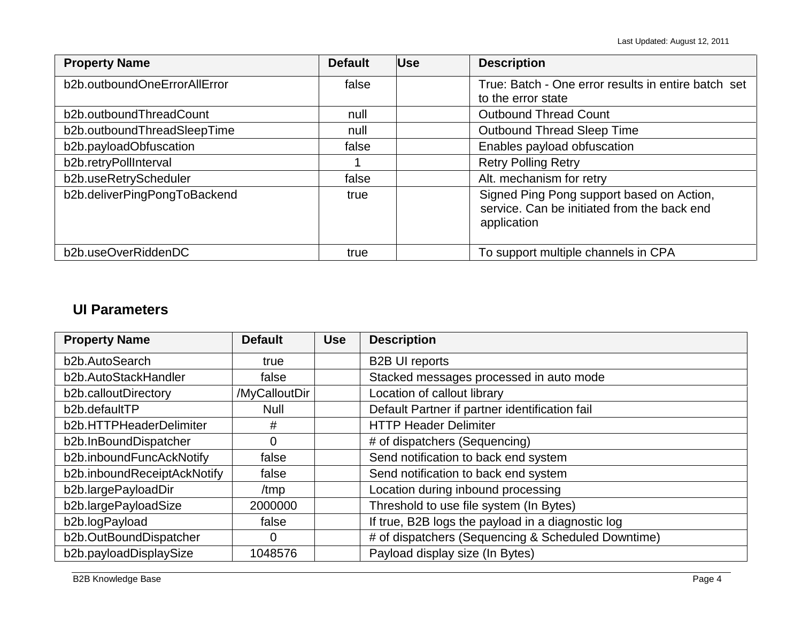Last Updated: August 12, 2011

| <b>Property Name</b>         | <b>Default</b> | <b>Use</b> | <b>Description</b>                                                                                      |
|------------------------------|----------------|------------|---------------------------------------------------------------------------------------------------------|
| b2b.outboundOneErrorAllError | false          |            | True: Batch - One error results in entire batch set<br>to the error state                               |
| b2b.outboundThreadCount      | null           |            | <b>Outbound Thread Count</b>                                                                            |
| b2b.outboundThreadSleepTime  | null           |            | <b>Outbound Thread Sleep Time</b>                                                                       |
| b2b.payloadObfuscation       | false          |            | Enables payload obfuscation                                                                             |
| b2b.retryPollInterval        |                |            | <b>Retry Polling Retry</b>                                                                              |
| b2b.useRetryScheduler        | false          |            | Alt. mechanism for retry                                                                                |
| b2b.deliverPingPongToBackend | true           |            | Signed Ping Pong support based on Action,<br>service. Can be initiated from the back end<br>application |
| b2b.useOverRiddenDC          | true           |            | To support multiple channels in CPA                                                                     |

## **UI Parameters**

<span id="page-3-0"></span>

| <b>Property Name</b>        | <b>Default</b> | <b>Use</b> | <b>Description</b>                                 |
|-----------------------------|----------------|------------|----------------------------------------------------|
| b <sub>2</sub> b.AutoSearch | true           |            | <b>B2B UI reports</b>                              |
| b2b.AutoStackHandler        | false          |            | Stacked messages processed in auto mode            |
| b2b.calloutDirectory        | /MyCalloutDir  |            | Location of callout library                        |
| b2b.defaultTP               | <b>Null</b>    |            | Default Partner if partner identification fail     |
| b2b.HTTPHeaderDelimiter     | #              |            | <b>HTTP Header Delimiter</b>                       |
| b2b.InBoundDispatcher       | 0              |            | # of dispatchers (Sequencing)                      |
| b2b.inboundFuncAckNotify    | false          |            | Send notification to back end system               |
| b2b.inboundReceiptAckNotify | false          |            | Send notification to back end system               |
| b2b.largePayloadDir         | /tmp           |            | Location during inbound processing                 |
| b2b.largePayloadSize        | 2000000        |            | Threshold to use file system (In Bytes)            |
| b2b.logPayload              | false          |            | If true, B2B logs the payload in a diagnostic log  |
| b2b.OutBoundDispatcher      | 0              |            | # of dispatchers (Sequencing & Scheduled Downtime) |
| b2b.payloadDisplaySize      | 1048576        |            | Payload display size (In Bytes)                    |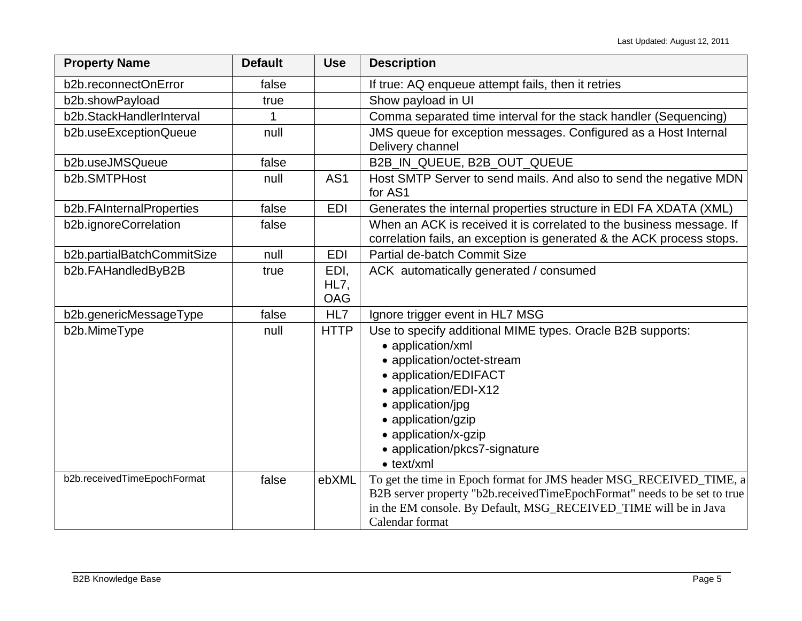| <b>Property Name</b>        | <b>Default</b> | <b>Use</b>                 | <b>Description</b>                                                                                                                                                                                                                                                                        |  |  |
|-----------------------------|----------------|----------------------------|-------------------------------------------------------------------------------------------------------------------------------------------------------------------------------------------------------------------------------------------------------------------------------------------|--|--|
| b2b.reconnectOnError        | false          |                            | If true: AQ enqueue attempt fails, then it retries                                                                                                                                                                                                                                        |  |  |
| b2b.showPayload             | true           |                            | Show payload in UI                                                                                                                                                                                                                                                                        |  |  |
| b2b.StackHandlerInterval    |                |                            | Comma separated time interval for the stack handler (Sequencing)                                                                                                                                                                                                                          |  |  |
| b2b.useExceptionQueue       | null           |                            | JMS queue for exception messages. Configured as a Host Internal<br>Delivery channel                                                                                                                                                                                                       |  |  |
| b2b.useJMSQueue             | false          |                            | B2B_IN_QUEUE, B2B_OUT_QUEUE                                                                                                                                                                                                                                                               |  |  |
| b2b.SMTPHost                | null           | AS <sub>1</sub>            | Host SMTP Server to send mails. And also to send the negative MDN<br>for AS1                                                                                                                                                                                                              |  |  |
| b2b.FAInternalProperties    | false          | <b>EDI</b>                 | Generates the internal properties structure in EDI FA XDATA (XML)                                                                                                                                                                                                                         |  |  |
| b2b.ignoreCorrelation       | false          |                            | When an ACK is received it is correlated to the business message. If<br>correlation fails, an exception is generated & the ACK process stops.                                                                                                                                             |  |  |
| b2b.partialBatchCommitSize  | null           | <b>EDI</b>                 | Partial de-batch Commit Size                                                                                                                                                                                                                                                              |  |  |
| b2b.FAHandledByB2B          | true           | EDI,<br>HL7,<br><b>OAG</b> | ACK automatically generated / consumed                                                                                                                                                                                                                                                    |  |  |
| b2b.genericMessageType      | false          | HL7                        | Ignore trigger event in HL7 MSG                                                                                                                                                                                                                                                           |  |  |
| b2b.MimeType                | null           | <b>HTTP</b>                | Use to specify additional MIME types. Oracle B2B supports:<br>• application/xml<br>• application/octet-stream<br>• application/EDIFACT<br>• application/EDI-X12<br>• application/jpg<br>• application/gzip<br>• application/x-gzip<br>• application/pkcs7-signature<br>$\bullet$ text/xml |  |  |
| b2b.receivedTimeEpochFormat | false          | ebXML                      | To get the time in Epoch format for JMS header MSG_RECEIVED_TIME, a<br>B2B server property "b2b.receivedTimeEpochFormat" needs to be set to true<br>in the EM console. By Default, MSG_RECEIVED_TIME will be in Java<br>Calendar format                                                   |  |  |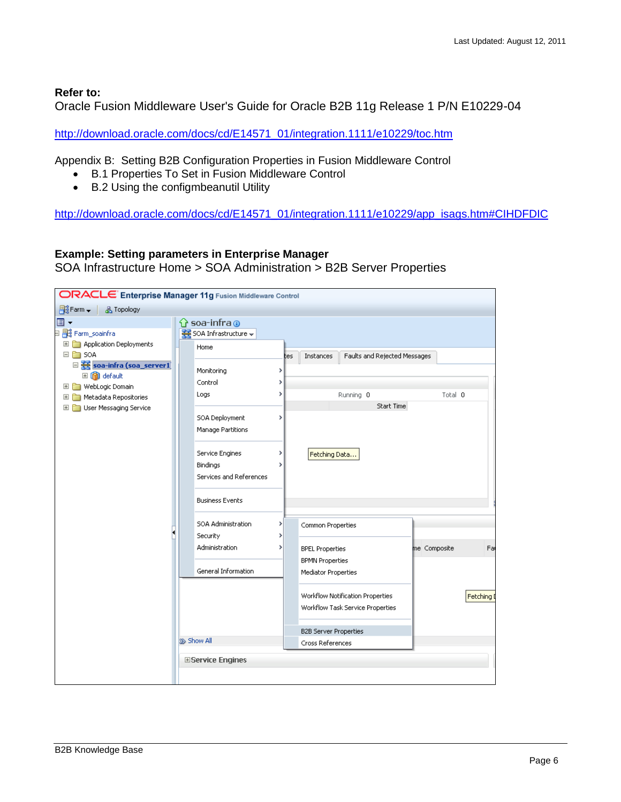#### **Refer to:**

Oracle Fusion Middleware User's Guide for Oracle B2B 11g Release 1 P/N E10229-04

[http://download.oracle.com/docs/cd/E14571\\_01/integration.1111/e10229/toc.htm](http://download.oracle.com/docs/cd/E14571_01/integration.1111/e10229/toc.htm)

Appendix B: Setting B2B Configuration Properties in Fusion Middleware Control

- B.1 Properties To Set in Fusion Middleware Control
- B.2 Using the configmbeanutil Utility

[http://download.oracle.com/docs/cd/E14571\\_01/integration.1111/e10229/app\\_isags.htm#CIHDFDIC](http://download.oracle.com/docs/cd/E14571_01/integration.1111/e10229/app_isags.htm#CIHDFDIC)

#### **Example: Setting parameters in Enterprise Manager**

SOA Infrastructure Home > SOA Administration > B2B Server Properties

| ORACLE Enterprise Manager 11g Fusion Middleware Control |                           |        |                                           |              |          |
|---------------------------------------------------------|---------------------------|--------|-------------------------------------------|--------------|----------|
| <b>B</b> §Farm <del>↓</del><br>品 Topology               |                           |        |                                           |              |          |
| 圓・                                                      | G soa-infra ⊕             |        |                                           |              |          |
| 图 Farm_soainfra<br>Ξ                                    | 器 SOA Infrastructure v    |        |                                           |              |          |
| Application Deployments<br>$+$<br>$\Box$ T SOA          | Home                      |        |                                           |              |          |
| □ 器 soa-infra (soa_server1)                             |                           | tes    | Faults and Rejected Messages<br>Instances |              |          |
| 田 ndefault                                              | Monitoring                | ٠      |                                           |              |          |
| WebLogic Domain                                         | Control                   | ▶<br>٠ |                                           |              |          |
| E   Metadata Repositories                               | Logs                      |        | Running 0<br>Start Time                   | Total 0      |          |
| El <b>Bullet</b> User Messaging Service                 | SOA Deployment            | ۶      |                                           |              |          |
|                                                         | Manage Partitions         |        |                                           |              |          |
|                                                         |                           |        |                                           |              |          |
|                                                         | Service Engines           | ١      | Fetching Data                             |              |          |
|                                                         | Bindings                  | ٠      |                                           |              |          |
|                                                         | Services and References   |        |                                           |              |          |
|                                                         |                           |        |                                           |              |          |
|                                                         | <b>Business Events</b>    |        |                                           |              |          |
|                                                         | <b>SOA Administration</b> | ,      | Common Properties                         |              |          |
|                                                         | Security                  | ٠      |                                           |              |          |
|                                                         | Administration            | ۰      | <b>BPEL Properties</b>                    | me Composite | Fa       |
|                                                         |                           |        | <b>BPMN Properties</b>                    |              |          |
|                                                         | General Information       |        | Mediator Properties                       |              |          |
|                                                         |                           |        |                                           |              |          |
|                                                         |                           |        | Workflow Notification Properties          |              | Fetching |
|                                                         |                           |        | Workflow Task Service Properties          |              |          |
|                                                         |                           |        | <b>B2B Server Properties</b>              |              |          |
|                                                         | Show All                  |        | Cross References                          |              |          |
|                                                         |                           |        |                                           |              |          |
|                                                         | <b>⊞Service Engines</b>   |        |                                           |              |          |
|                                                         |                           |        |                                           |              |          |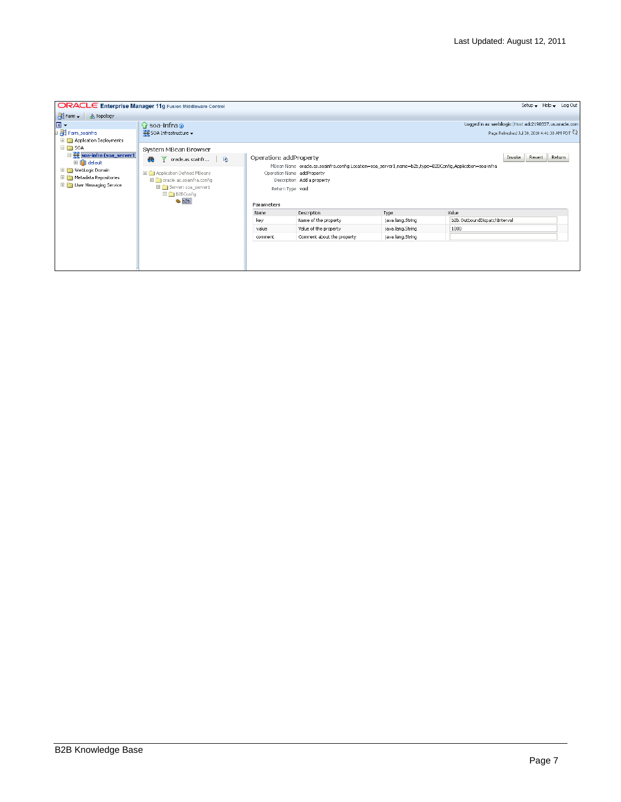|                                                                                                                                                           | ORACLE Enterprise Manager 11g Fusion Middleware Control                                                                                                               |                                                                                                                                                                                                                                                     |                            |                  | Setup + Help + Log Out                                                                                    |  |  |  |
|-----------------------------------------------------------------------------------------------------------------------------------------------------------|-----------------------------------------------------------------------------------------------------------------------------------------------------------------------|-----------------------------------------------------------------------------------------------------------------------------------------------------------------------------------------------------------------------------------------------------|----------------------------|------------------|-----------------------------------------------------------------------------------------------------------|--|--|--|
| <b>品 Topology</b><br><mark>国</mark> Farm <del>↓</del><br>⊟ -<br>日 用 Farm_soainfra                                                                         | $\Omega$ soa-infra<br>SOA Infrastructure →                                                                                                                            |                                                                                                                                                                                                                                                     |                            |                  | Logged in as weblogic   Host adc2190337.us.oracle.com  <br>Page Refreshed Jul 30, 2010 4:41:30 AM PDT (2) |  |  |  |
| Application Deployments<br>$\Box$ 50A<br>□ 妾 soa-infra (soa_server1)<br>国 n default<br>WebLogic Domain<br>Metadata Repositories<br>User Messaging Service | System MBean Browser<br>oracle.as.soainfr<br>$\Box$<br>áã.<br>Application Defined MBeans<br>□ nacle.as.soainfra.config<br>Server: soa_server1<br>□ B2BConfig<br>$b2b$ | Operation: addProperty<br>Revert<br>Invoke<br>MBean Name oracle.as.soainfra.config:Location=soa_server1,name=b2b,type=B2BConfig,Application=soa-infra<br>Operation Name addProperty<br>Description Add a property<br>Return Type void<br>Parameters |                            |                  |                                                                                                           |  |  |  |
|                                                                                                                                                           |                                                                                                                                                                       | Name                                                                                                                                                                                                                                                | Description                | Type             | Value                                                                                                     |  |  |  |
|                                                                                                                                                           |                                                                                                                                                                       | key                                                                                                                                                                                                                                                 | Name of the property       | java.lang.String | b2b.OutboundDispatchInterval                                                                              |  |  |  |
|                                                                                                                                                           |                                                                                                                                                                       | value<br>Value of the property<br>1000<br>java.lang.String                                                                                                                                                                                          |                            |                  |                                                                                                           |  |  |  |
|                                                                                                                                                           |                                                                                                                                                                       | comment                                                                                                                                                                                                                                             | Comment about the property | java.lang.String |                                                                                                           |  |  |  |
|                                                                                                                                                           |                                                                                                                                                                       |                                                                                                                                                                                                                                                     |                            |                  |                                                                                                           |  |  |  |